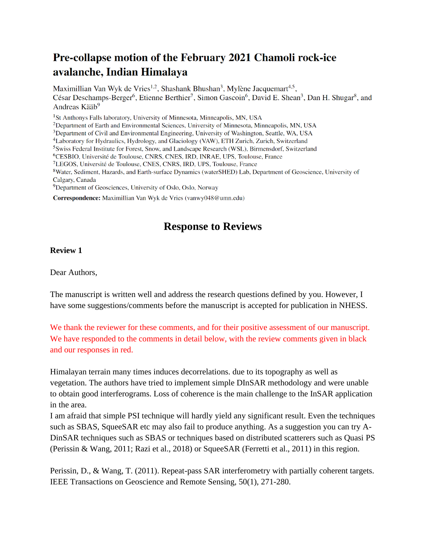## Pre-collapse motion of the February 2021 Chamoli rock-ice avalanche, Indian Himalaya

Maximillian Van Wyk de Vries<sup>1,2</sup>, Shashank Bhushan<sup>3</sup>, Mylène Jacquemart<sup>4,5</sup>, César Deschamps-Berger<sup>6</sup>, Etienne Berthier<sup>7</sup>, Simon Gascoin<sup>6</sup>, David E. Shean<sup>3</sup>, Dan H. Shugar<sup>8</sup>, and Andreas Kääb<sup>9</sup>

<sup>1</sup>St Anthonys Falls laboratory, University of Minnesota, Minneapolis, MN, USA

<sup>2</sup>Department of Earth and Environmental Sciences, University of Minnesota, Minneapolis, MN, USA

<sup>3</sup>Department of Civil and Environmental Engineering, University of Washington, Seattle, WA, USA

<sup>4</sup>Laboratory for Hydraulics, Hydrology, and Glaciology (VAW), ETH Zurich, Zurich, Switzerland

<sup>5</sup>Swiss Federal Institute for Forest, Snow, and Landscape Research (WSL), Birmensdorf, Switzerland

<sup>6</sup>CESBIO, Université de Toulouse, CNRS, CNES, IRD, INRAE, UPS, Toulouse, France

<sup>7</sup>LEGOS, Université de Toulouse, CNES, CNRS, IRD, UPS, Toulouse, France

<sup>8</sup>Water, Sediment, Hazards, and Earth-surface Dynamics (waterSHED) Lab, Department of Geoscience, University of Calgary, Canada

<sup>9</sup>Department of Geosciences, University of Oslo, Oslo, Norway

Correspondence: Maximillian Van Wyk de Vries (vanwy048@umn.edu)

## **Response to Reviews**

## **Review 1**

Dear Authors,

The manuscript is written well and address the research questions defined by you. However, I have some suggestions/comments before the manuscript is accepted for publication in NHESS.

We thank the reviewer for these comments, and for their positive assessment of our manuscript. We have responded to the comments in detail below, with the review comments given in black and our responses in red.

Himalayan terrain many times induces decorrelations. due to its topography as well as vegetation. The authors have tried to implement simple DInSAR methodology and were unable to obtain good interferograms. Loss of coherence is the main challenge to the InSAR application in the area.

I am afraid that simple PSI technique will hardly yield any significant result. Even the techniques such as SBAS, SqueeSAR etc may also fail to produce anything. As a suggestion you can try A-DinSAR techniques such as SBAS or techniques based on distributed scatterers such as Quasi PS (Perissin & Wang, 2011; Razi et al., 2018) or SqueeSAR (Ferretti et al., 2011) in this region.

Perissin, D., & Wang, T. (2011). Repeat-pass SAR interferometry with partially coherent targets. IEEE Transactions on Geoscience and Remote Sensing, 50(1), 271-280.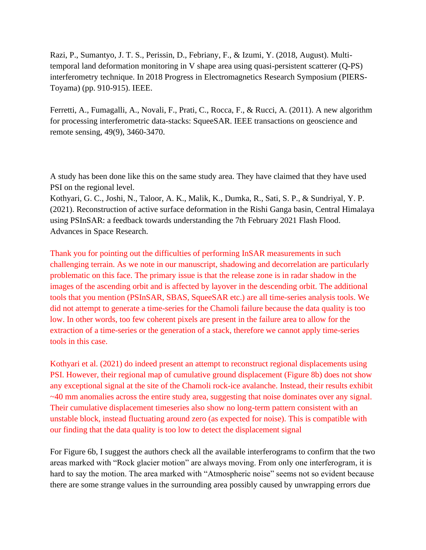Razi, P., Sumantyo, J. T. S., Perissin, D., Febriany, F., & Izumi, Y. (2018, August). Multitemporal land deformation monitoring in V shape area using quasi-persistent scatterer (Q-PS) interferometry technique. In 2018 Progress in Electromagnetics Research Symposium (PIERS-Toyama) (pp. 910-915). IEEE.

Ferretti, A., Fumagalli, A., Novali, F., Prati, C., Rocca, F., & Rucci, A. (2011). A new algorithm for processing interferometric data-stacks: SqueeSAR. IEEE transactions on geoscience and remote sensing, 49(9), 3460-3470.

A study has been done like this on the same study area. They have claimed that they have used PSI on the regional level.

Kothyari, G. C., Joshi, N., Taloor, A. K., Malik, K., Dumka, R., Sati, S. P., & Sundriyal, Y. P. (2021). Reconstruction of active surface deformation in the Rishi Ganga basin, Central Himalaya using PSInSAR: a feedback towards understanding the 7th February 2021 Flash Flood. Advances in Space Research.

Thank you for pointing out the difficulties of performing InSAR measurements in such challenging terrain. As we note in our manuscript, shadowing and decorrelation are particularly problematic on this face. The primary issue is that the release zone is in radar shadow in the images of the ascending orbit and is affected by layover in the descending orbit. The additional tools that you mention (PSInSAR, SBAS, SqueeSAR etc.) are all time-series analysis tools. We did not attempt to generate a time-series for the Chamoli failure because the data quality is too low. In other words, too few coherent pixels are present in the failure area to allow for the extraction of a time-series or the generation of a stack, therefore we cannot apply time-series tools in this case.

Kothyari et al. (2021) do indeed present an attempt to reconstruct regional displacements using PSI. However, their regional map of cumulative ground displacement (Figure 8b) does not show any exceptional signal at the site of the Chamoli rock-ice avalanche. Instead, their results exhibit ~40 mm anomalies across the entire study area, suggesting that noise dominates over any signal. Their cumulative displacement timeseries also show no long-term pattern consistent with an unstable block, instead fluctuating around zero (as expected for noise). This is compatible with our finding that the data quality is too low to detect the displacement signal

For Figure 6b, I suggest the authors check all the available interferograms to confirm that the two areas marked with "Rock glacier motion" are always moving. From only one interferogram, it is hard to say the motion. The area marked with "Atmospheric noise" seems not so evident because there are some strange values in the surrounding area possibly caused by unwrapping errors due